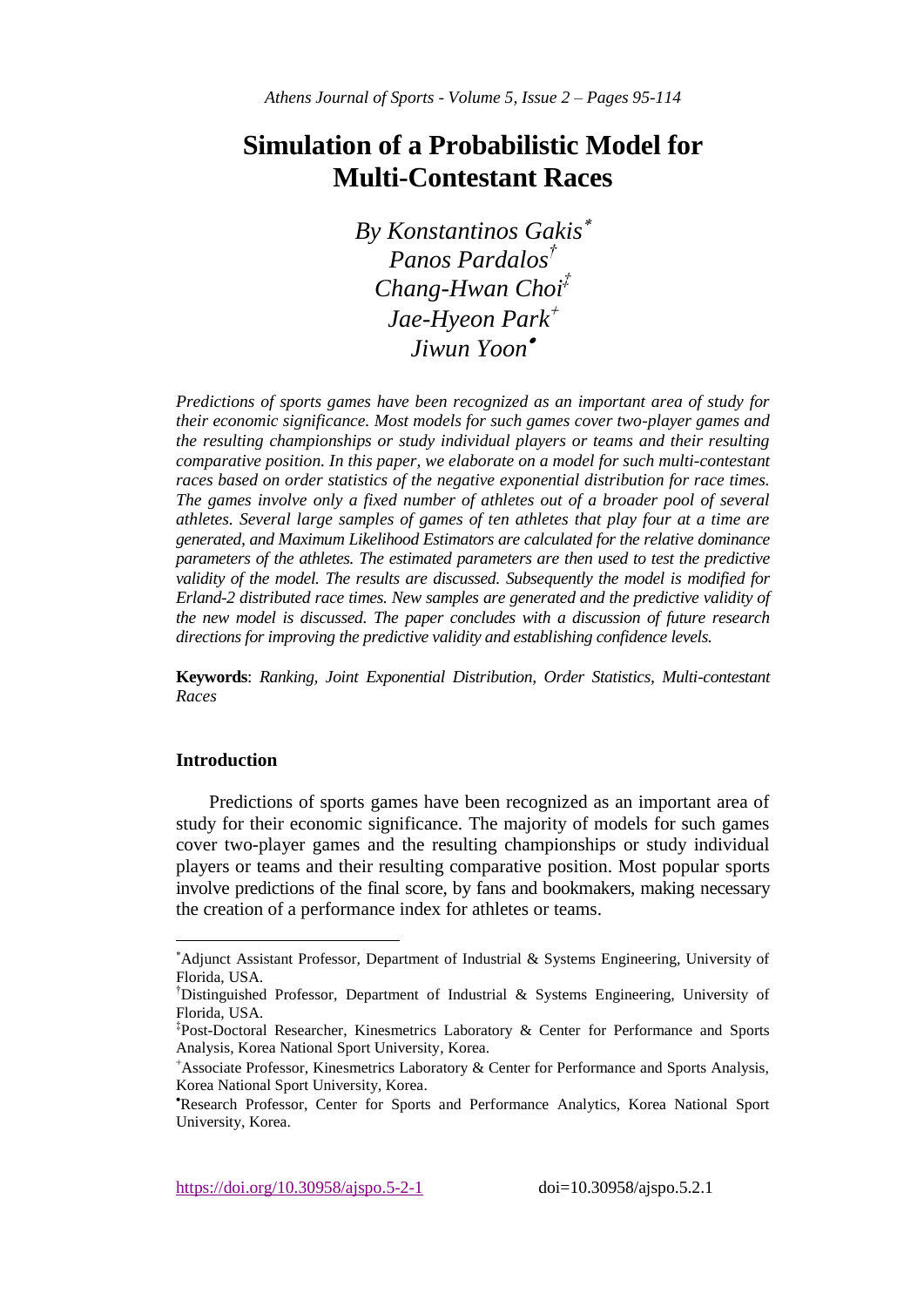# **Simulation of a Probabilistic Model for Multi-Contestant Races**

*By Konstantinos Gakis Panos Pardalos† Chang-Hwan Choi‡ Jae-Hyeon Park Jiwun Yoon*

*Predictions of sports games have been recognized as an important area of study for their economic significance. Most models for such games cover two-player games and the resulting championships or study individual players or teams and their resulting comparative position. In this paper, we elaborate on a model for such multi-contestant races based on order statistics of the negative exponential distribution for race times. The games involve only a fixed number of athletes out of a broader pool of several athletes. Several large samples of games of ten athletes that play four at a time are generated, and Maximum Likelihood Estimators are calculated for the relative dominance parameters of the athletes. The estimated parameters are then used to test the predictive validity of the model. The results are discussed. Subsequently the model is modified for Erland-2 distributed race times. New samples are generated and the predictive validity of the new model is discussed. The paper concludes with a discussion of future research directions for improving the predictive validity and establishing confidence levels.*

**Keywords**: *Ranking, Joint Exponential Distribution, Order Statistics, Multi-contestant Races*

# **Introduction**

 $\overline{a}$ 

Predictions of sports games have been recognized as an important area of study for their economic significance. The majority of models for such games cover two-player games and the resulting championships or study individual players or teams and their resulting comparative position. Most popular sports involve predictions of the final score, by fans and bookmakers, making necessary the creation of a performance index for athletes or teams.

<sup>\*</sup>Adjunct Assistant Professor, Department of Industrial & Systems Engineering, University of Florida, USA.

<sup>†</sup>Distinguished Professor, Department of Industrial & Systems Engineering, University of Florida, USA.

<sup>‡</sup> Post-Doctoral Researcher, Kinesmetrics Laboratory & Center for Performance and Sports Analysis, Korea National Sport University, Korea.

<sup>&</sup>lt;sup>+</sup>Associate Professor, Kinesmetrics Laboratory & Center for Performance and Sports Analysis, Korea National Sport University, Korea.

Research Professor, Center for Sports and Performance Analytics, Korea National Sport University, Korea.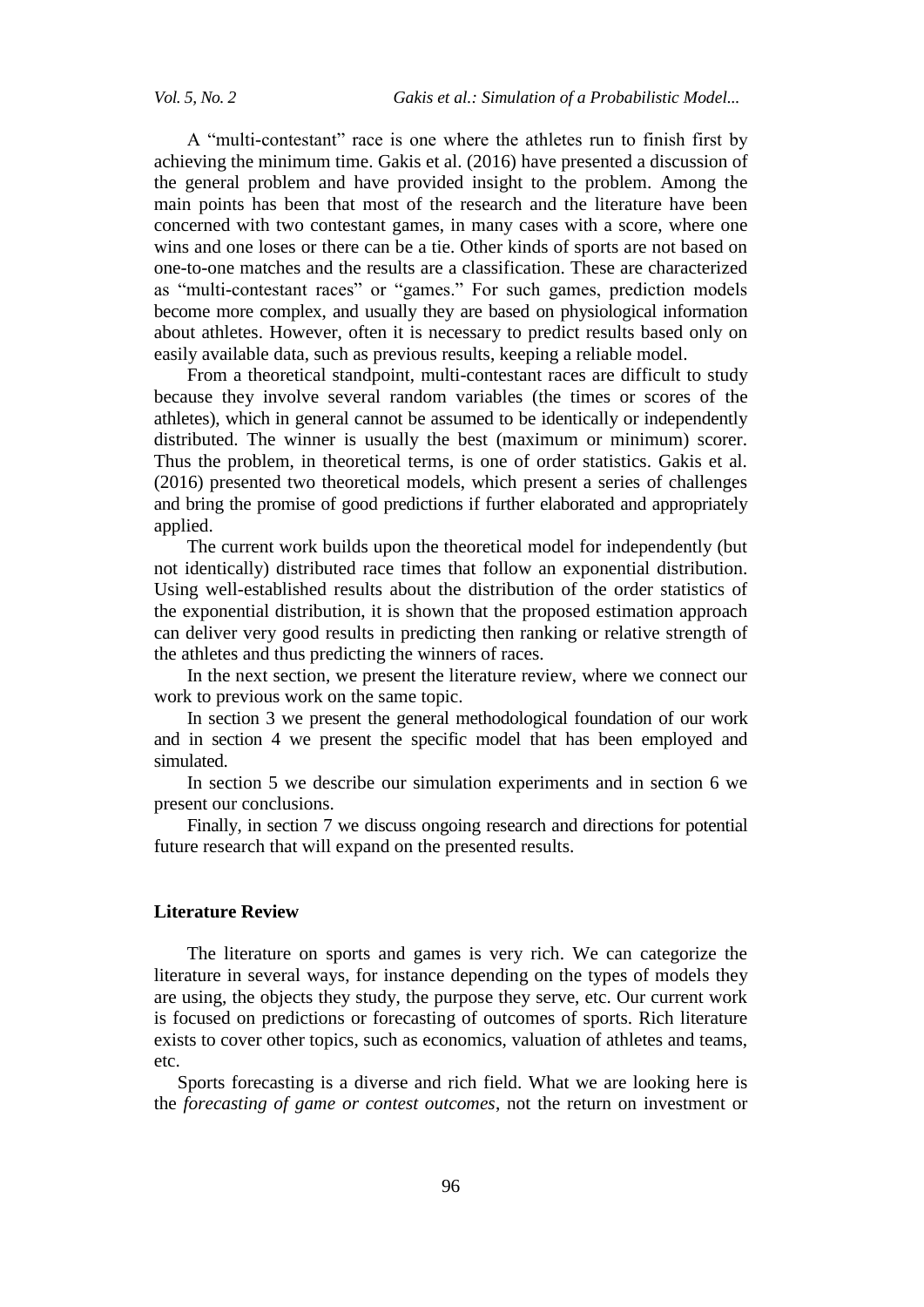A "multi-contestant" race is one where the athletes run to finish first by achieving the minimum time. Gakis et al. (2016) have presented a discussion of the general problem and have provided insight to the problem. Among the main points has been that most of the research and the literature have been concerned with two contestant games, in many cases with a score, where one wins and one loses or there can be a tie. Other kinds of sports are not based on one-to-one matches and the results are a classification. These are characterized as "multi-contestant races" or "games." For such games, prediction models become more complex, and usually they are based on physiological information about athletes. However, often it is necessary to predict results based only on easily available data, such as previous results, keeping a reliable model.

From a theoretical standpoint, multi-contestant races are difficult to study because they involve several random variables (the times or scores of the athletes), which in general cannot be assumed to be identically or independently distributed. The winner is usually the best (maximum or minimum) scorer. Thus the problem, in theoretical terms, is one of order statistics. Gakis et al. (2016) presented two theoretical models, which present a series of challenges and bring the promise of good predictions if further elaborated and appropriately applied.

The current work builds upon the theoretical model for independently (but not identically) distributed race times that follow an exponential distribution. Using well-established results about the distribution of the order statistics of the exponential distribution, it is shown that the proposed estimation approach can deliver very good results in predicting then ranking or relative strength of the athletes and thus predicting the winners of races.

In the next section, we present the literature review, where we connect our work to previous work on the same topic.

In section 3 we present the general methodological foundation of our work and in section 4 we present the specific model that has been employed and simulated.

In section 5 we describe our simulation experiments and in section 6 we present our conclusions.

Finally, in section 7 we discuss ongoing research and directions for potential future research that will expand on the presented results.

#### **Literature Review**

The literature on sports and games is very rich. We can categorize the literature in several ways, for instance depending on the types of models they are using, the objects they study, the purpose they serve, etc. Our current work is focused on predictions or forecasting of outcomes of sports. Rich literature exists to cover other topics, such as economics, valuation of athletes and teams, etc.

Sports forecasting is a diverse and rich field. What we are looking here is the *forecasting of game or contest outcomes*, not the return on investment or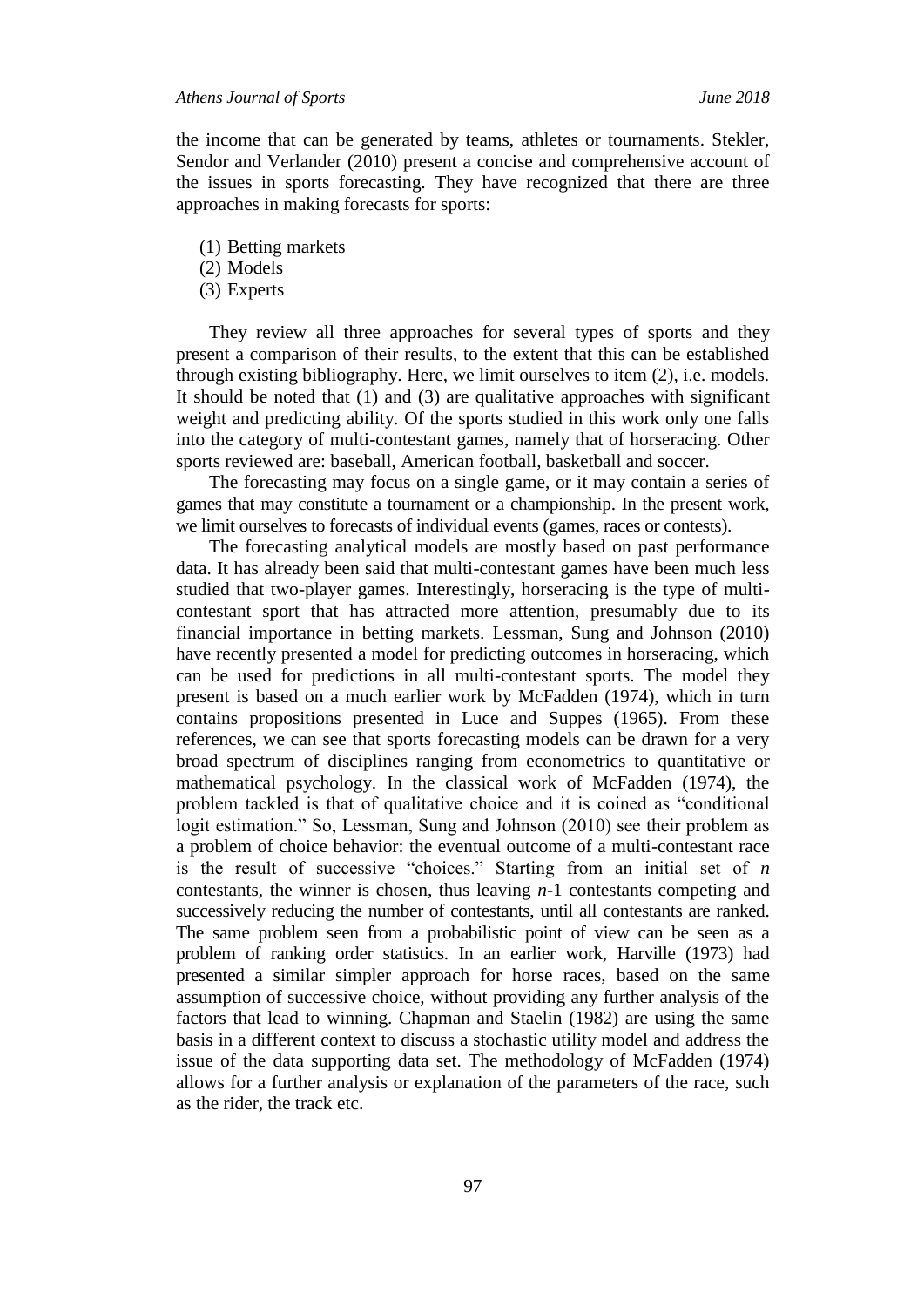the income that can be generated by teams, athletes or tournaments. Stekler, Sendor and Verlander (2010) present a concise and comprehensive account of the issues in sports forecasting. They have recognized that there are three approaches in making forecasts for sports:

- (1) Betting markets
- (2) Models
- (3) Experts

They review all three approaches for several types of sports and they present a comparison of their results, to the extent that this can be established through existing bibliography. Here, we limit ourselves to item (2), i.e. models. It should be noted that (1) and (3) are qualitative approaches with significant weight and predicting ability. Of the sports studied in this work only one falls into the category of multi-contestant games, namely that of horseracing. Other sports reviewed are: baseball, American football, basketball and soccer.

The forecasting may focus on a single game, or it may contain a series of games that may constitute a tournament or a championship. In the present work, we limit ourselves to forecasts of individual events (games, races or contests).

The forecasting analytical models are mostly based on past performance data. It has already been said that multi-contestant games have been much less studied that two-player games. Interestingly, horseracing is the type of multicontestant sport that has attracted more attention, presumably due to its financial importance in betting markets. Lessman, Sung and Johnson (2010) have recently presented a model for predicting outcomes in horseracing, which can be used for predictions in all multi-contestant sports. The model they present is based on a much earlier work by McFadden (1974), which in turn contains propositions presented in Luce and Suppes (1965). From these references, we can see that sports forecasting models can be drawn for a very broad spectrum of disciplines ranging from econometrics to quantitative or mathematical psychology. In the classical work of McFadden (1974), the problem tackled is that of qualitative choice and it is coined as "conditional logit estimation." So, Lessman, Sung and Johnson (2010) see their problem as a problem of choice behavior: the eventual outcome of a multi-contestant race is the result of successive "choices." Starting from an initial set of *n*  contestants, the winner is chosen, thus leaving *n-*1 contestants competing and successively reducing the number of contestants, until all contestants are ranked. The same problem seen from a probabilistic point of view can be seen as a problem of ranking order statistics. In an earlier work, Harville (1973) had presented a similar simpler approach for horse races, based on the same assumption of successive choice, without providing any further analysis of the factors that lead to winning. Chapman and Staelin (1982) are using the same basis in a different context to discuss a stochastic utility model and address the issue of the data supporting data set. The methodology of McFadden (1974) allows for a further analysis or explanation of the parameters of the race, such as the rider, the track etc.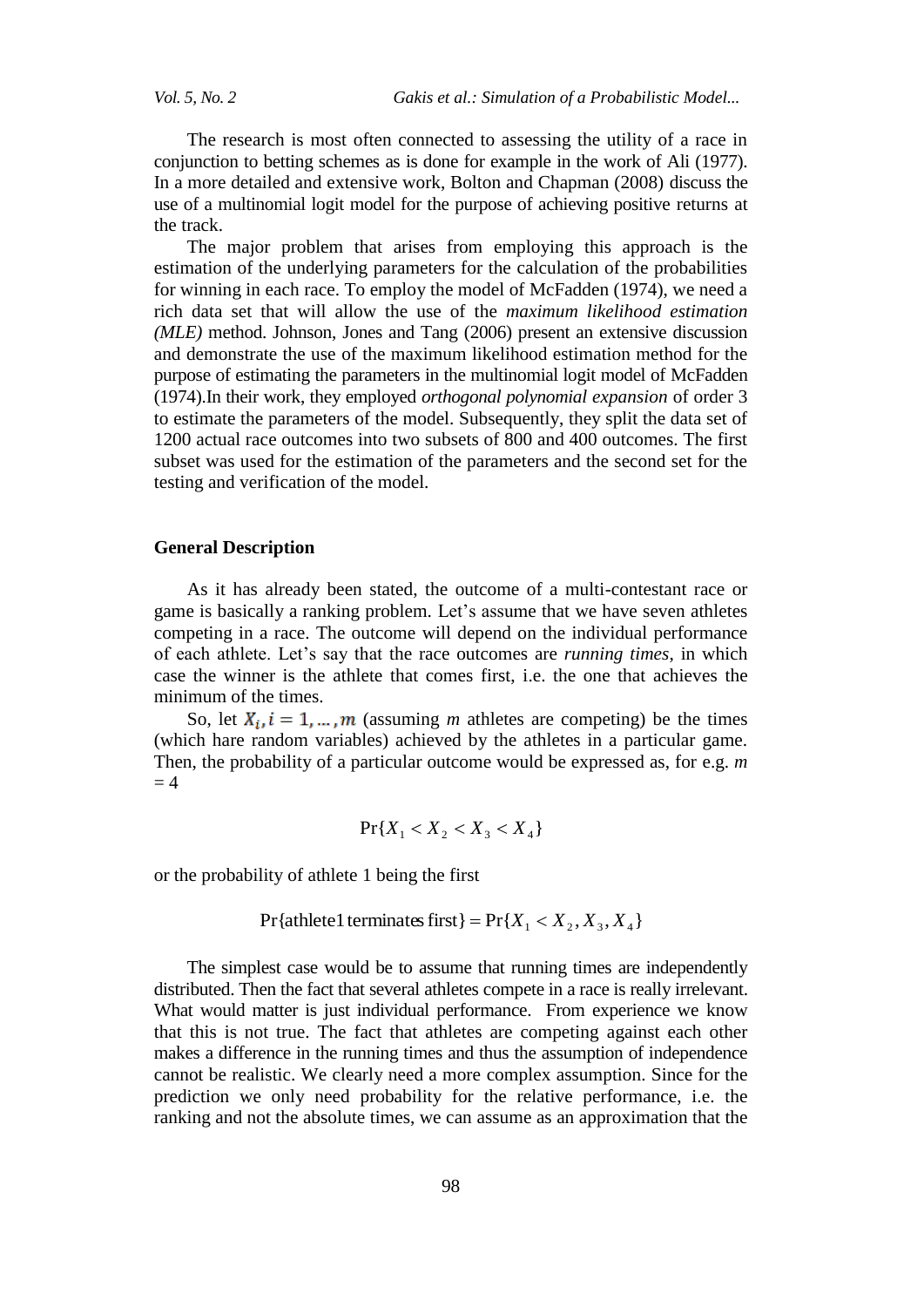The research is most often connected to assessing the utility of a race in conjunction to betting schemes as is done for example in the work of Ali (1977). In a more detailed and extensive work, Bolton and Chapman (2008) discuss the use of a multinomial logit model for the purpose of achieving positive returns at the track.

The major problem that arises from employing this approach is the estimation of the underlying parameters for the calculation of the probabilities for winning in each race. To employ the model of McFadden (1974), we need a rich data set that will allow the use of the *maximum likelihood estimation (MLE)* method. Johnson, Jones and Tang (2006) present an extensive discussion and demonstrate the use of the maximum likelihood estimation method for the purpose of estimating the parameters in the multinomial logit model of McFadden (1974).In their work, they employed *orthogonal polynomial expansion* of order 3 to estimate the parameters of the model. Subsequently, they split the data set of 1200 actual race outcomes into two subsets of 800 and 400 outcomes. The first subset was used for the estimation of the parameters and the second set for the testing and verification of the model.

#### **General Description**

As it has already been stated, the outcome of a multi-contestant race or game is basically a ranking problem. Let's assume that we have seven athletes competing in a race. The outcome will depend on the individual performance of each athlete. Let's say that the race outcomes are *running times*, in which case the winner is the athlete that comes first, i.e. the one that achieves the minimum of the times.

So, let  $X_i$ ,  $i = 1, ..., m$  (assuming *m* athletes are competing) be the times (which hare random variables) achieved by the athletes in a particular game. Then, the probability of a particular outcome would be expressed as, for e.g. *m*  $= 4$ 

$$
\Pr\{X_1 < X_2 < X_3 < X_4\}
$$

or the probability of athlete 1 being the first

$$
Pr{athlete1 terminates first} = Pr{X1 < X2, X3, X4}
$$

The simplest case would be to assume that running times are independently distributed. Then the fact that several athletes compete in a race is really irrelevant. What would matter is just individual performance. From experience we know that this is not true. The fact that athletes are competing against each other makes a difference in the running times and thus the assumption of independence cannot be realistic. We clearly need a more complex assumption. Since for the prediction we only need probability for the relative performance, i.e. the ranking and not the absolute times, we can assume as an approximation that the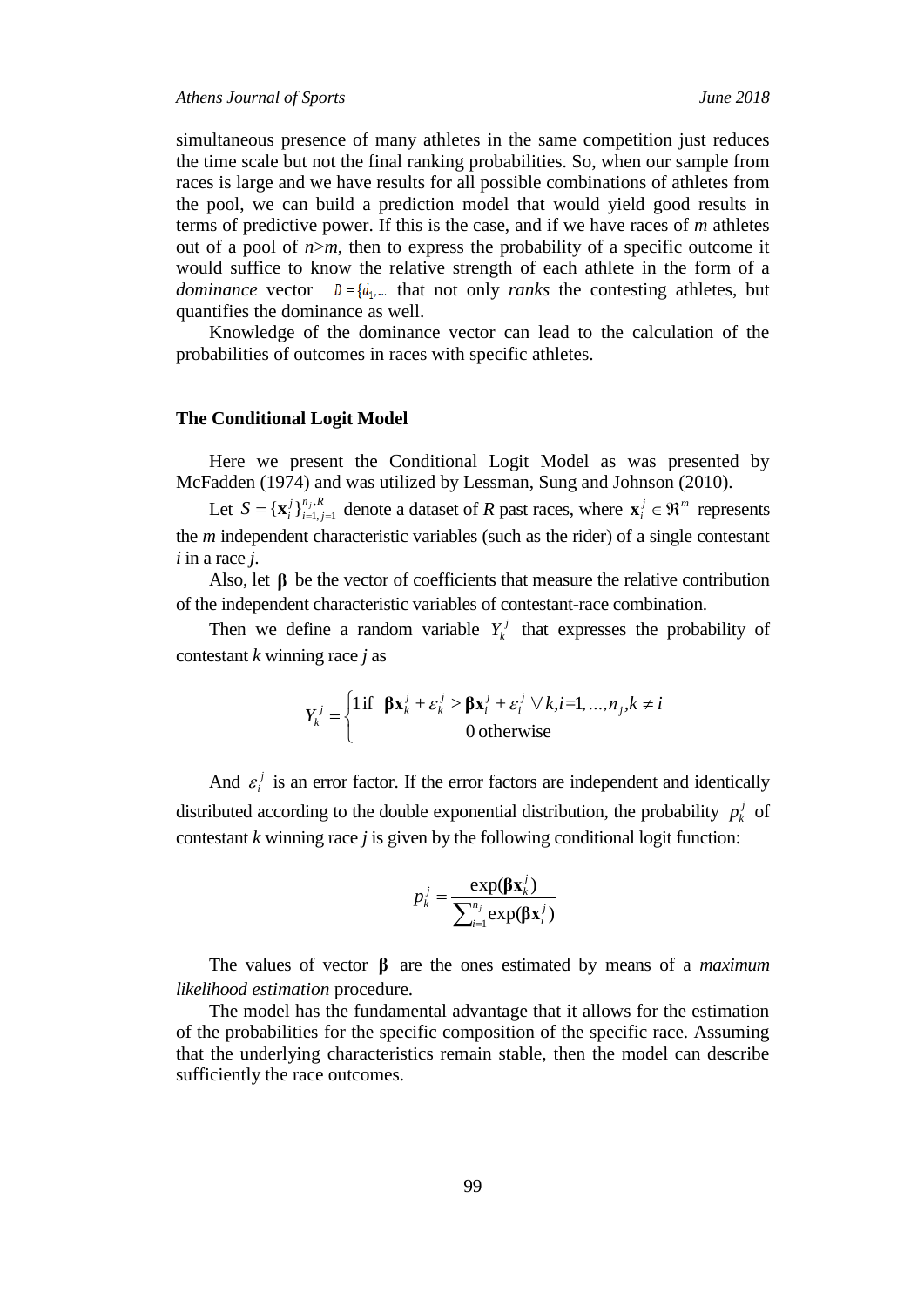simultaneous presence of many athletes in the same competition just reduces the time scale but not the final ranking probabilities. So, when our sample from races is large and we have results for all possible combinations of athletes from the pool, we can build a prediction model that would yield good results in terms of predictive power. If this is the case, and if we have races of *m* athletes out of a pool of  $n>m$ , then to express the probability of a specific outcome it would suffice to know the relative strength of each athlete in the form of a *dominance* vector  $D = \{d_1, \dots, d_n\}$  that not only *ranks* the contesting athletes, but quantifies the dominance as well.

Knowledge of the dominance vector can lead to the calculation of the probabilities of outcomes in races with specific athletes.

### **The Conditional Logit Model**

Here we present the Conditional Logit Model as was presented by McFadden (1974) and was utilized by Lessman, Sung and Johnson (2010).

Let  $S = {\mathbf{x}_{i}^{j}}_{i=1}^{n_{j},R}$  $i=1, j$ *j*  $S = {\mathbf{x}_i^j}_{i=1}^{n_j}$  $= {\{\mathbf{x}_i^j\}}_{i=1, j=1}^{n_j, R}$  denote a dataset of *R* past races, where  $\mathbf{x}_i^j \in \mathbb{R}^m$  represents the *m* independent characteristic variables (such as the rider) of a single contestant *i* in a race *j*.

Also, let  $\beta$  be the vector of coefficients that measure the relative contribution of the independent characteristic variables of contestant-race combination.

Then we define a random variable  $Y_k^j$  that expresses the probability of contestant *k* winning race *j* as

$$
Y_k^j = \begin{cases} \n1 \text{ if } \beta \mathbf{x}_k^j + \varepsilon_k^j > \beta \mathbf{x}_i^j + \varepsilon_i^j \; \forall \, k, i = 1, \dots, n_j, k \neq i \\ \n0 \text{ otherwise} \n\end{cases}
$$

And  $\varepsilon_i^j$  $\varepsilon_i^j$  is an error factor. If the error factors are independent and identically distributed according to the double exponential distribution, the probability  $p_k^j$  of contestant *k* winning race *j* is given by the following conditional logit function:

$$
p_{k}^{j} = \frac{\exp(\beta \mathbf{x}_{k}^{j})}{\sum_{i=1}^{n_{j}} \exp(\beta \mathbf{x}_{i}^{j})}
$$

The values of vector **β** are the ones estimated by means of a *maximum likelihood estimation* procedure.

The model has the fundamental advantage that it allows for the estimation of the probabilities for the specific composition of the specific race. Assuming that the underlying characteristics remain stable, then the model can describe sufficiently the race outcomes.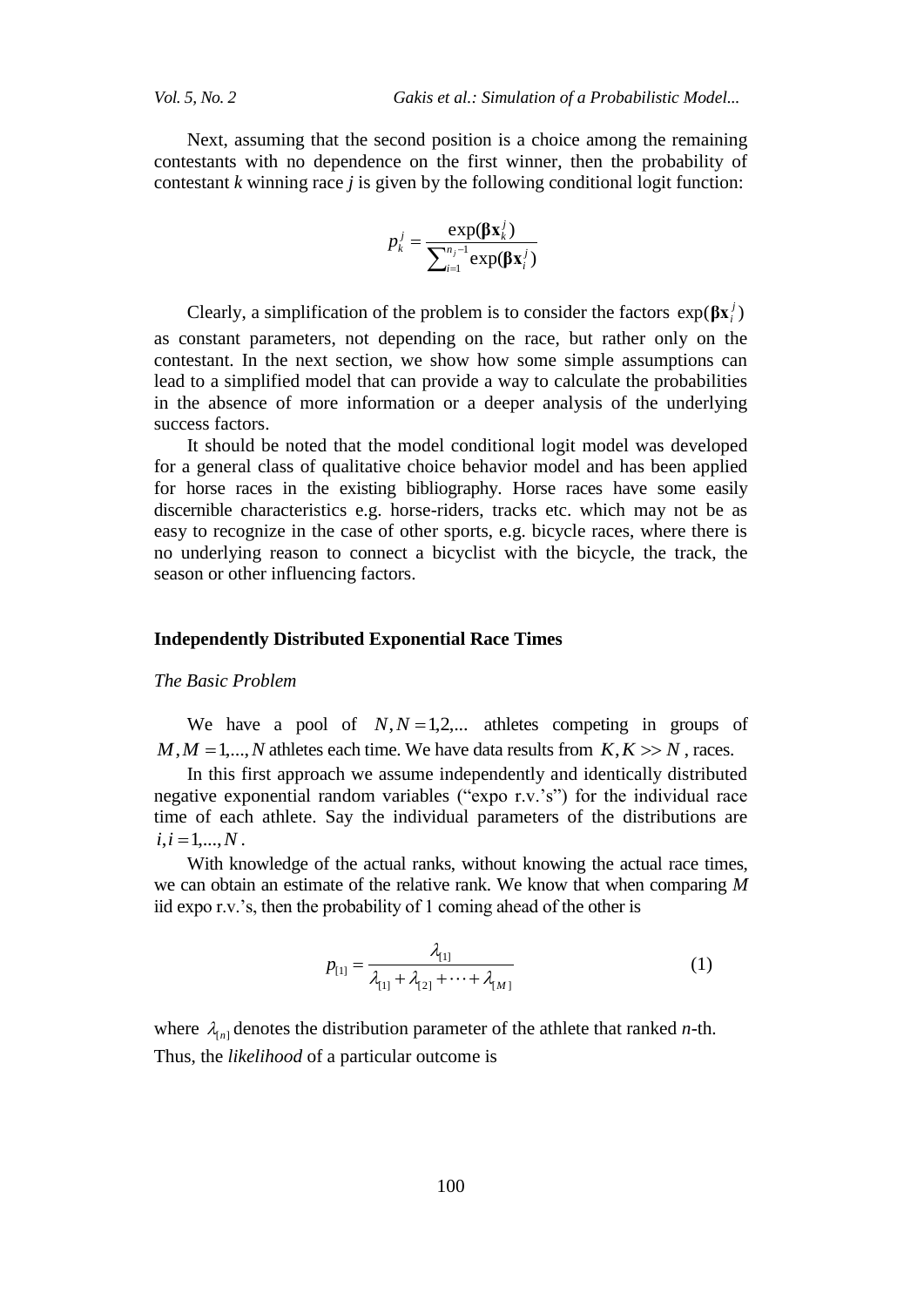Next, assuming that the second position is a choice among the remaining contestants with no dependence on the first winner, then the probability of contestant *k* winning race *j* is given by the following conditional logit function:

$$
p_k^j = \frac{\exp(\beta \mathbf{x}_k^j)}{\sum_{i=1}^{n_j-1} \exp(\beta \mathbf{x}_i^j)}
$$

Clearly, a simplification of the problem is to consider the factors  $exp(\beta x_i^j)$ as constant parameters, not depending on the race, but rather only on the contestant. In the next section, we show how some simple assumptions can lead to a simplified model that can provide a way to calculate the probabilities in the absence of more information or a deeper analysis of the underlying success factors.

It should be noted that the model conditional logit model was developed for a general class of qualitative choice behavior model and has been applied for horse races in the existing bibliography. Horse races have some easily discernible characteristics e.g. horse-riders, tracks etc. which may not be as easy to recognize in the case of other sports, e.g. bicycle races, where there is no underlying reason to connect a bicyclist with the bicycle, the track, the season or other influencing factors.

## **Independently Distributed Exponential Race Times**

## *The Basic Problem*

We have a pool of  $N, N = 1,2,...$  athletes competing in groups of  $M, M = 1, \ldots, N$  athletes each time. We have data results from  $K, K \gg N$ , races.

In this first approach we assume independently and identically distributed negative exponential random variables ("expo r.v.'s") for the individual race time of each athlete. Say the individual parameters of the distributions are  $i, i = 1, \ldots, N$ .

With knowledge of the actual ranks, without knowing the actual race times, we can obtain an estimate of the relative rank. We know that when comparing *M* iid expo r.v.'s, then the probability of 1 coming ahead of the other is

$$
p_{[1]} = \frac{\lambda_{[1]}}{\lambda_{[1]} + \lambda_{[2]} + \dots + \lambda_{[M]}} \tag{1}
$$

where  $\lambda_{[n]}$  denotes the distribution parameter of the athlete that ranked *n*-th. Thus, the *likelihood* of a particular outcome is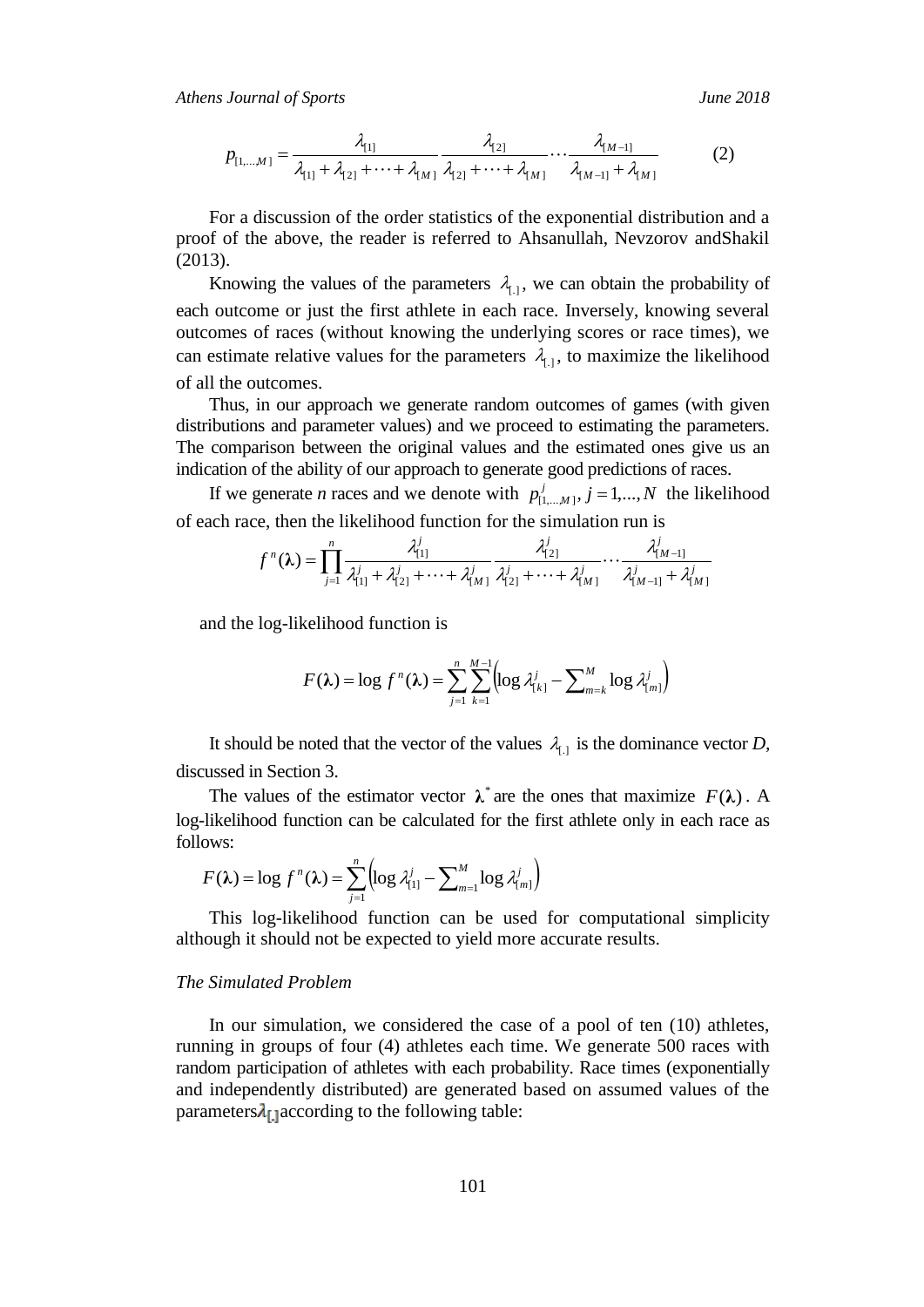*Athens Journal of Sports June 2018*

$$
p_{[1,...M]} = \frac{\lambda_{[1]}}{\lambda_{[1]} + \lambda_{[2]} + \dots + \lambda_{[M]}} \frac{\lambda_{[2]}}{\lambda_{[2]} + \dots + \lambda_{[M]}} \dots \frac{\lambda_{[M-1]}}{\lambda_{[M-1]} + \lambda_{[M]}} \tag{2}
$$

For a discussion of the order statistics of the exponential distribution and a proof of the above, the reader is referred to Ahsanullah, Nevzorov andShakil (2013).

Knowing the values of the parameters  $\lambda_{1,1}$ , we can obtain the probability of each outcome or just the first athlete in each race. Inversely, knowing several outcomes of races (without knowing the underlying scores or race times), we can estimate relative values for the parameters  $\lambda_{1,1}$ , to maximize the likelihood of all the outcomes.

Thus, in our approach we generate random outcomes of games (with given distributions and parameter values) and we proceed to estimating the parameters. The comparison between the original values and the estimated ones give us an indication of the ability of our approach to generate good predictions of races.

If we generate *n* races and we denote with  $p_{{i_1,...,N}}^j$ ,  $j = 1,...,N$  $j_{[1,...,M]}^{j}$ ,  $j = 1,...,N$  the likelihood of each race, then the likelihood function for the simulation run is

$$
f^{n}(\lambda) = \prod_{j=1}^{n} \frac{\lambda_{[1]}^{j}}{\lambda_{[1]}^{j} + \lambda_{[2]}^{j} + \cdots + \lambda_{[M]}^{j}} \frac{\lambda_{[2]}^{j}}{\lambda_{[2]}^{j} + \cdots + \lambda_{[M]}^{j}} \cdots \frac{\lambda_{[M-1]}^{j}}{\lambda_{[M-1]}^{j} + \lambda_{[M]}^{j}}
$$

and the log-likelihood function is

$$
F(\lambda) = \log f^{n}(\lambda) = \sum_{j=1}^{n} \sum_{k=1}^{M-1} \left( \log \lambda_{\{k\}}^{j} - \sum_{m=k}^{M} \log \lambda_{\{m\}}^{j} \right)
$$

It should be noted that the vector of the values  $\lambda_{1}$  is the dominance vector *D*, discussed in Section 3.

The values of the estimator vector  $\lambda^*$  are the ones that maximize  $F(\lambda)$ . A log-likelihood function can be calculated for the first athlete only in each race as follows:

$$
F(\lambda) = \log f^{n}(\lambda) = \sum_{j=1}^{n} \left( \log \lambda_{[1]}^{j} - \sum_{m=1}^{M} \log \lambda_{[m]}^{j} \right)
$$

This log-likelihood function can be used for computational simplicity although it should not be expected to yield more accurate results.

#### *The Simulated Problem*

In our simulation, we considered the case of a pool of ten (10) athletes, running in groups of four (4) athletes each time. We generate 500 races with random participation of athletes with each probability. Race times (exponentially and independently distributed) are generated based on assumed values of the parameters $\lambda_{0}$  according to the following table: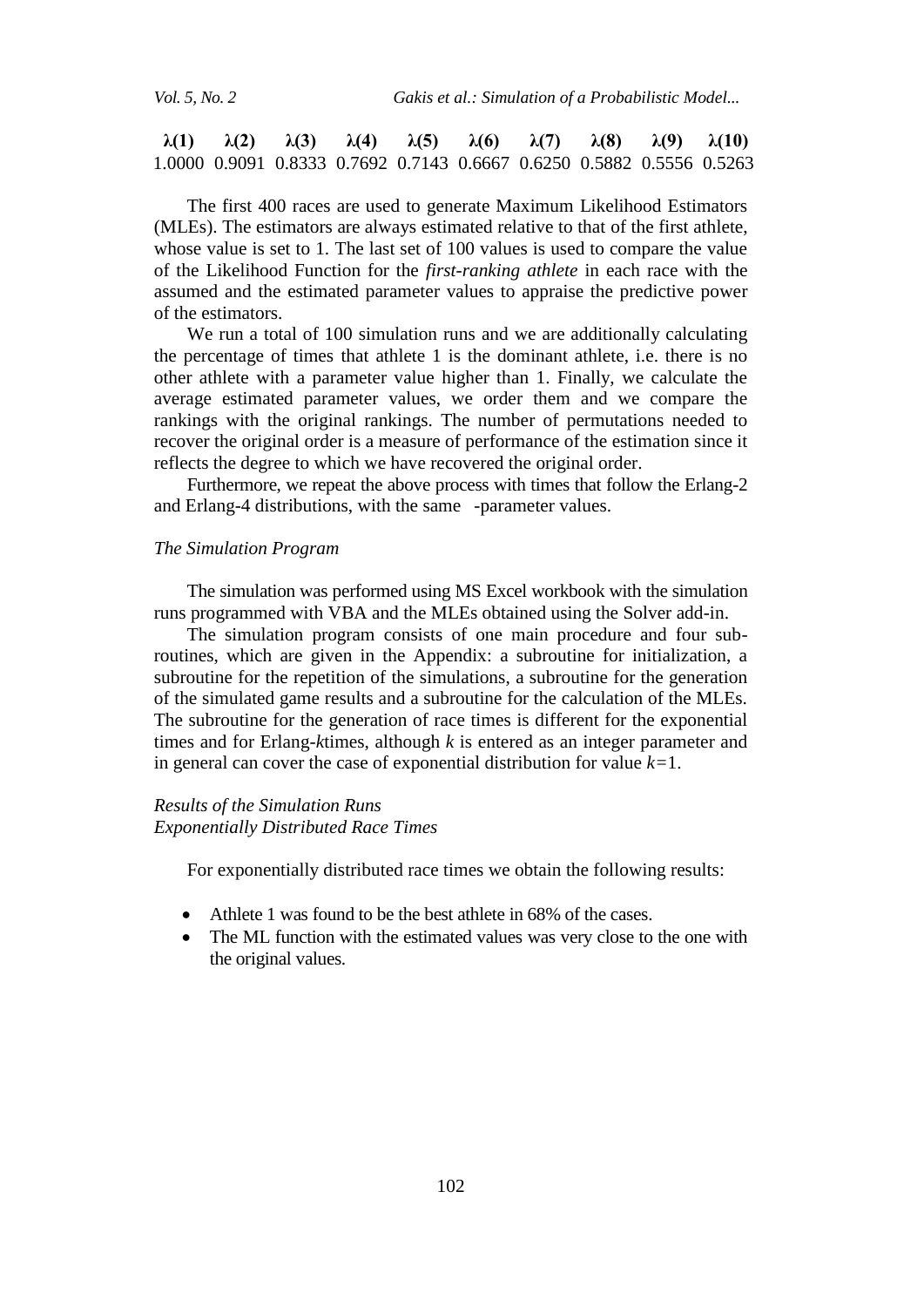**λ(1) λ(2) λ(3) λ(4) λ(5) λ(6) λ(7) λ(8) λ(9) λ(10)** 1.0000 0.9091 0.8333 0.7692 0.7143 0.6667 0.6250 0.5882 0.5556 0.5263

The first 400 races are used to generate Maximum Likelihood Estimators (MLEs). The estimators are always estimated relative to that of the first athlete, whose value is set to 1. The last set of 100 values is used to compare the value of the Likelihood Function for the *first-ranking athlete* in each race with the assumed and the estimated parameter values to appraise the predictive power of the estimators.

We run a total of 100 simulation runs and we are additionally calculating the percentage of times that athlete 1 is the dominant athlete, i.e. there is no other athlete with a parameter value higher than 1. Finally, we calculate the average estimated parameter values, we order them and we compare the rankings with the original rankings. The number of permutations needed to recover the original order is a measure of performance of the estimation since it reflects the degree to which we have recovered the original order.

Furthermore, we repeat the above process with times that follow the Erlang-2 and Erlang-4 distributions, with the same -parameter values.

#### *The Simulation Program*

The simulation was performed using MS Excel workbook with the simulation runs programmed with VBA and the MLEs obtained using the Solver add-in.

The simulation program consists of one main procedure and four subroutines, which are given in the Appendix: a subroutine for initialization, a subroutine for the repetition of the simulations, a subroutine for the generation of the simulated game results and a subroutine for the calculation of the MLEs. The subroutine for the generation of race times is different for the exponential times and for Erlang-*k*times, although *k* is entered as an integer parameter and in general can cover the case of exponential distribution for value *k=*1.

# *Results of the Simulation Runs Exponentially Distributed Race Times*

For exponentially distributed race times we obtain the following results:

- Athlete 1 was found to be the best athlete in 68% of the cases.
- The ML function with the estimated values was very close to the one with the original values.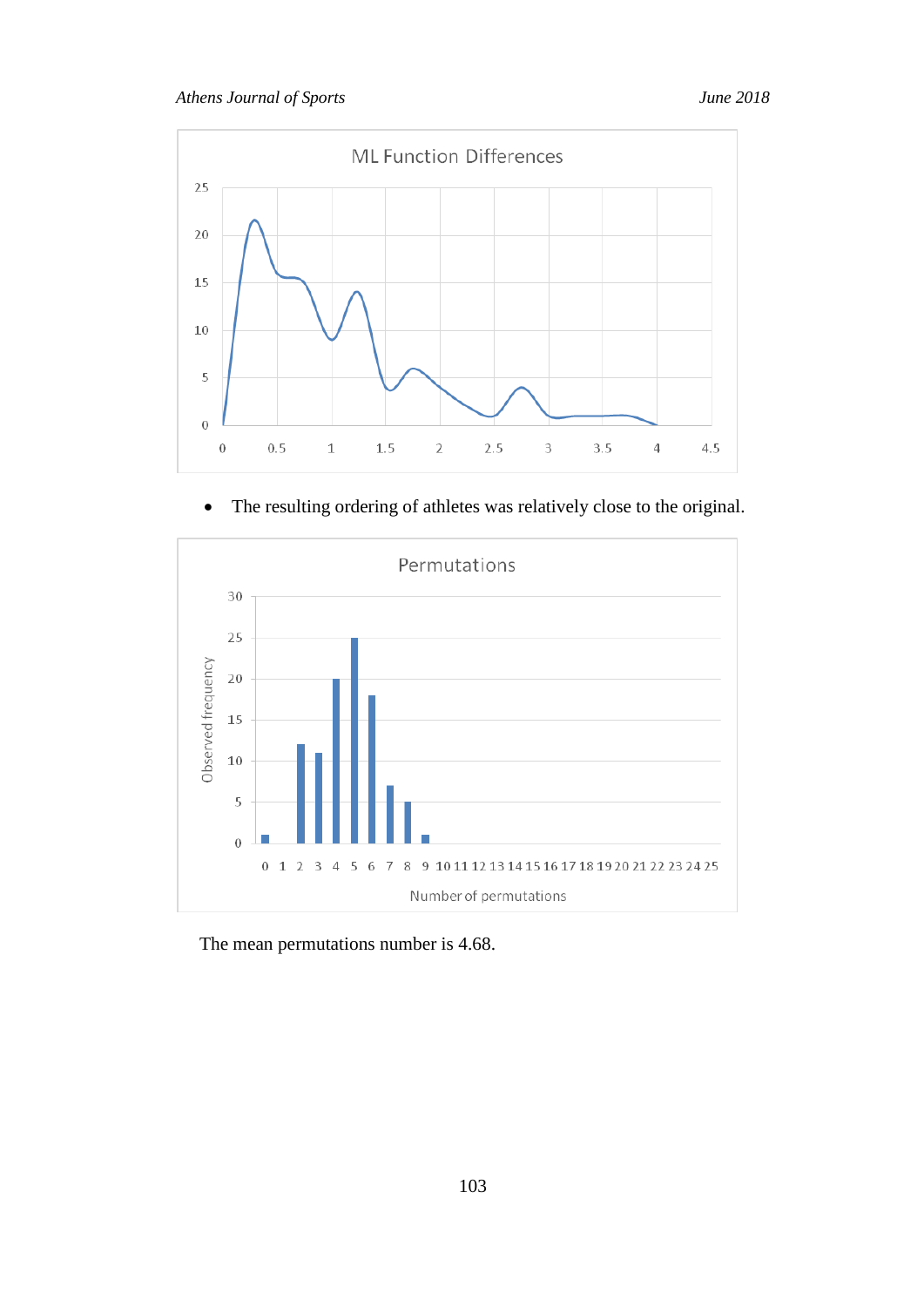

The resulting ordering of athletes was relatively close to the original.



The mean permutations number is 4.68.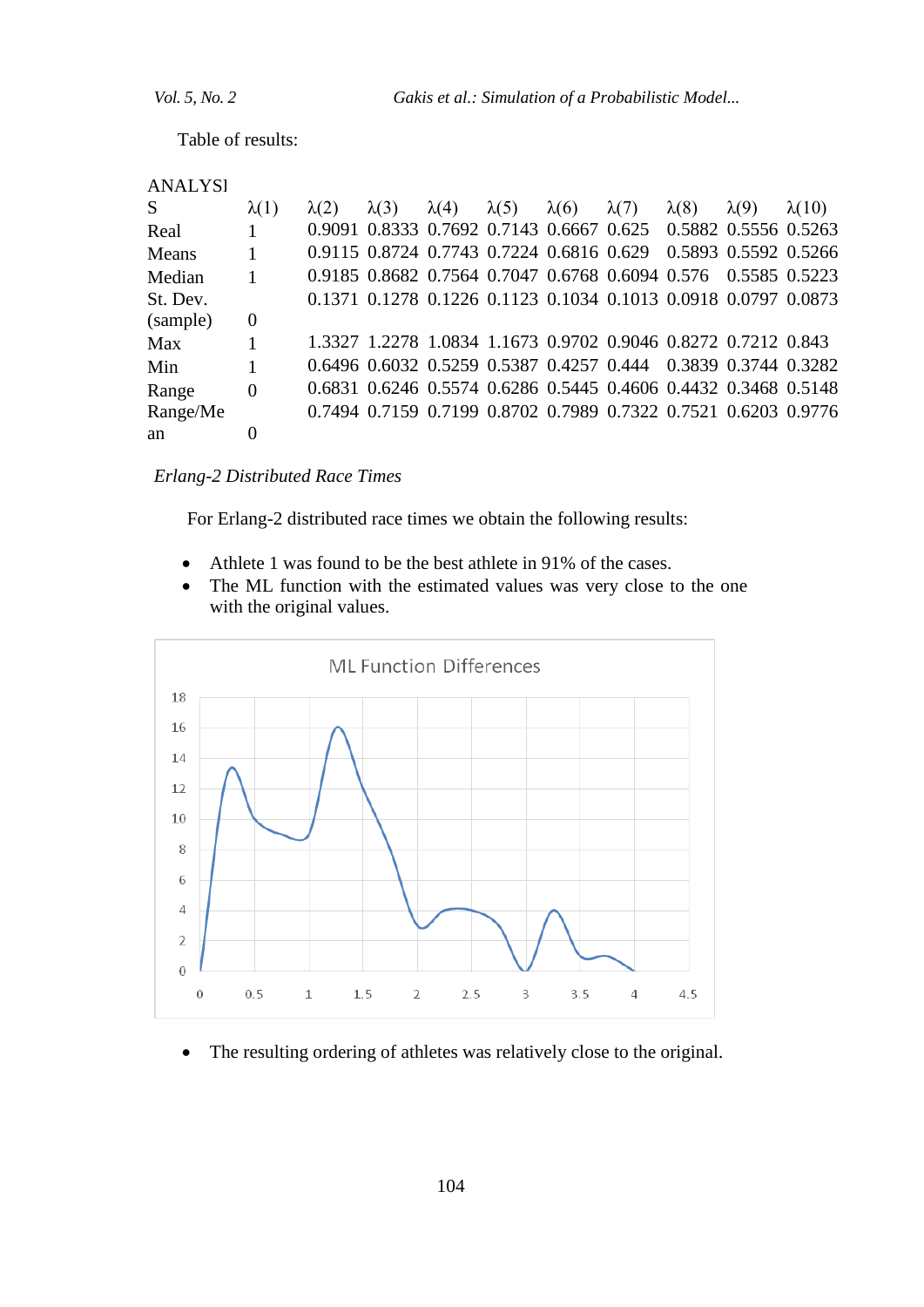Table of results:

| <b>ANALYSI</b> |              |              |                                                                |              |              |              |              |              |                      |               |
|----------------|--------------|--------------|----------------------------------------------------------------|--------------|--------------|--------------|--------------|--------------|----------------------|---------------|
| S              | $\lambda(1)$ | $\lambda(2)$ | $\lambda(3)$                                                   | $\lambda(4)$ | $\lambda(5)$ | $\lambda(6)$ | $\lambda(7)$ | $\lambda(8)$ | $\lambda(9)$         | $\lambda(10)$ |
| Real           |              |              | 0.9091 0.8333 0.7692 0.7143 0.6667 0.625 0.5882 0.5556 0.5263  |              |              |              |              |              |                      |               |
| Means          |              |              | 0.9115 0.8724 0.7743 0.7224 0.6816 0.629                       |              |              |              |              |              | 0.5893 0.5592 0.5266 |               |
| Median         |              |              | 0.9185 0.8682 0.7564 0.7047 0.6768 0.6094 0.576 0.5585 0.5223  |              |              |              |              |              |                      |               |
| St. Dev.       |              |              | 0.1371 0.1278 0.1226 0.1123 0.1034 0.1013 0.0918 0.0797 0.0873 |              |              |              |              |              |                      |               |
| (sample)       | 0            |              |                                                                |              |              |              |              |              |                      |               |
| Max            |              |              | 1.3327 1.2278 1.0834 1.1673 0.9702 0.9046 0.8272 0.7212 0.843  |              |              |              |              |              |                      |               |
| Min            |              |              | 0.6496 0.6032 0.5259 0.5387 0.4257 0.444 0.3839 0.3744 0.3282  |              |              |              |              |              |                      |               |
| Range          | $\Omega$     |              | 0.6831 0.6246 0.5574 0.6286 0.5445 0.4606 0.4432 0.3468 0.5148 |              |              |              |              |              |                      |               |
| Range/Me       |              |              | 0.7494 0.7159 0.7199 0.8702 0.7989 0.7322 0.7521 0.6203 0.9776 |              |              |              |              |              |                      |               |
| an             | 0            |              |                                                                |              |              |              |              |              |                      |               |

*Erlang-2 Distributed Race Times*

For Erlang-2 distributed race times we obtain the following results:

- Athlete 1 was found to be the best athlete in 91% of the cases.
- The ML function with the estimated values was very close to the one with the original values.



The resulting ordering of athletes was relatively close to the original.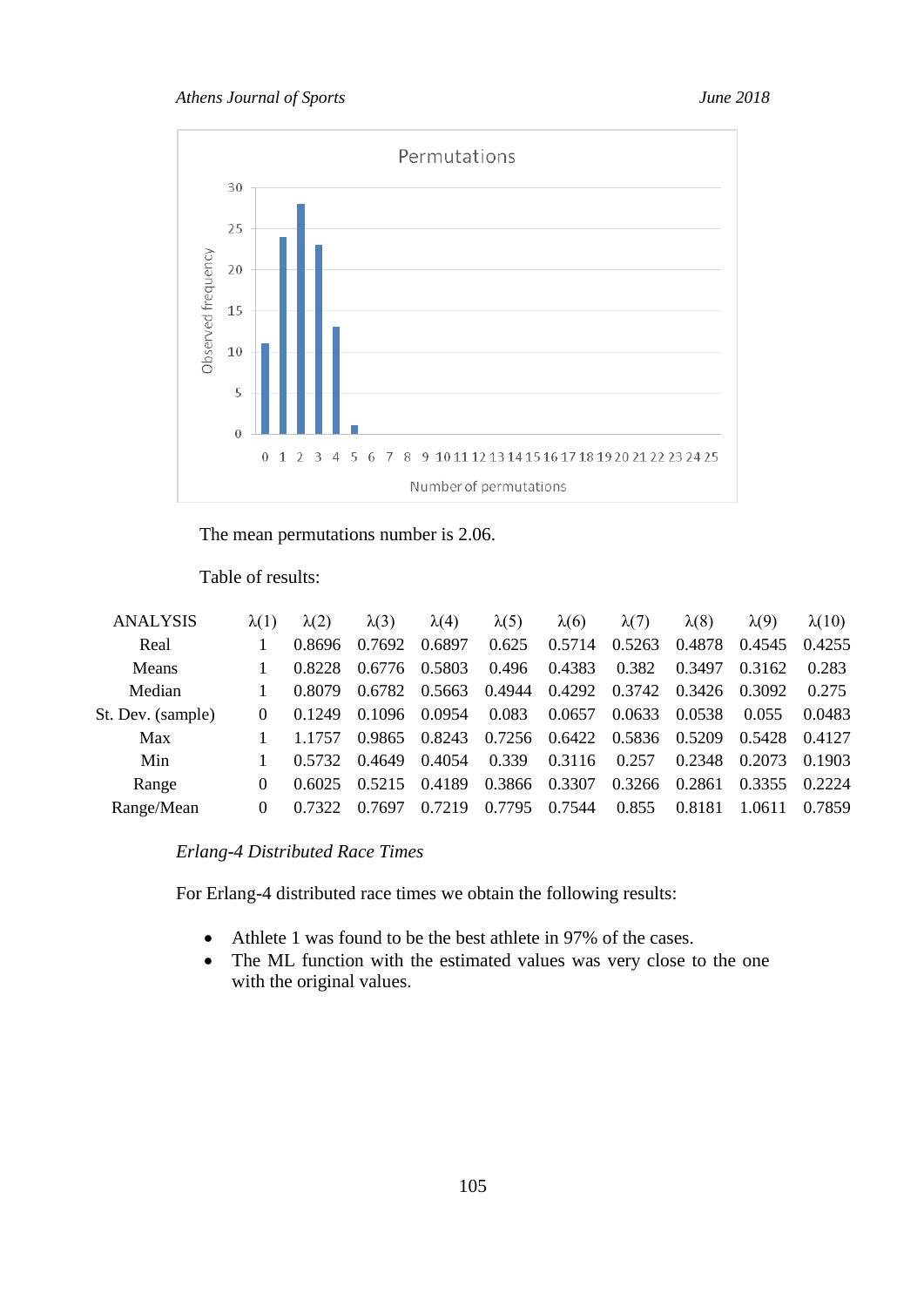

The mean permutations number is 2.06.

Table of results:

| <b>ANALYSIS</b>   | $\lambda(1)$ | $\lambda(2)$ | $\lambda(3)$ | $\lambda(4)$ | $\lambda(5)$ | $\lambda(6)$  | $\lambda(7)$  | $\lambda(8)$ | $\lambda(9)$ | $\lambda(10)$ |
|-------------------|--------------|--------------|--------------|--------------|--------------|---------------|---------------|--------------|--------------|---------------|
| Real              |              | 0.8696       | 0.7692       | 0.6897       | 0.625        | 0.5714        | 0.5263        | 0.4878       | 0.4545       | 0.4255        |
| Means             |              | 0.8228       | 0.6776       | 0.5803       | 0.496        | 0.4383        | 0.382         | 0.3497       | 0.3162       | 0.283         |
| Median            |              | 0.8079       | 0.6782       | 0.5663       |              | 0.4944 0.4292 | 0.3742        | 0.3426       | 0.3092       | 0.275         |
| St. Dev. (sample) | $\Omega$     | 0.1249       | 0.1096       | 0.0954       | 0.083        | 0.0657        | 0.0633        | 0.0538       | 0.055        | 0.0483        |
| Max               |              | 1.1757       | 0.9865       | 0.8243       | 0.7256       |               | 0.6422 0.5836 | 0.5209       | 0.5428       | 0.4127        |
| Min               |              | 0.5732       | 0.4649       | 0.4054       | 0.339        | 0.3116        | 0.257         | 0.2348       | 0.2073       | 0.1903        |
| Range             | $\Omega$     | 0.6025       | 0.5215       | 0.4189       | 0.3866       | 0.3307        | 0.3266        | 0.2861       | 0.3355       | 0.2224        |
| Range/Mean        | 0            | 0.7322       | 0.7697       | 0.7219       | 0.7795       | 0.7544        | 0.855         | 0.8181       | 1.0611       | 0.7859        |

# *Erlang-4 Distributed Race Times*

For Erlang-4 distributed race times we obtain the following results:

- Athlete 1 was found to be the best athlete in 97% of the cases.
- The ML function with the estimated values was very close to the one with the original values.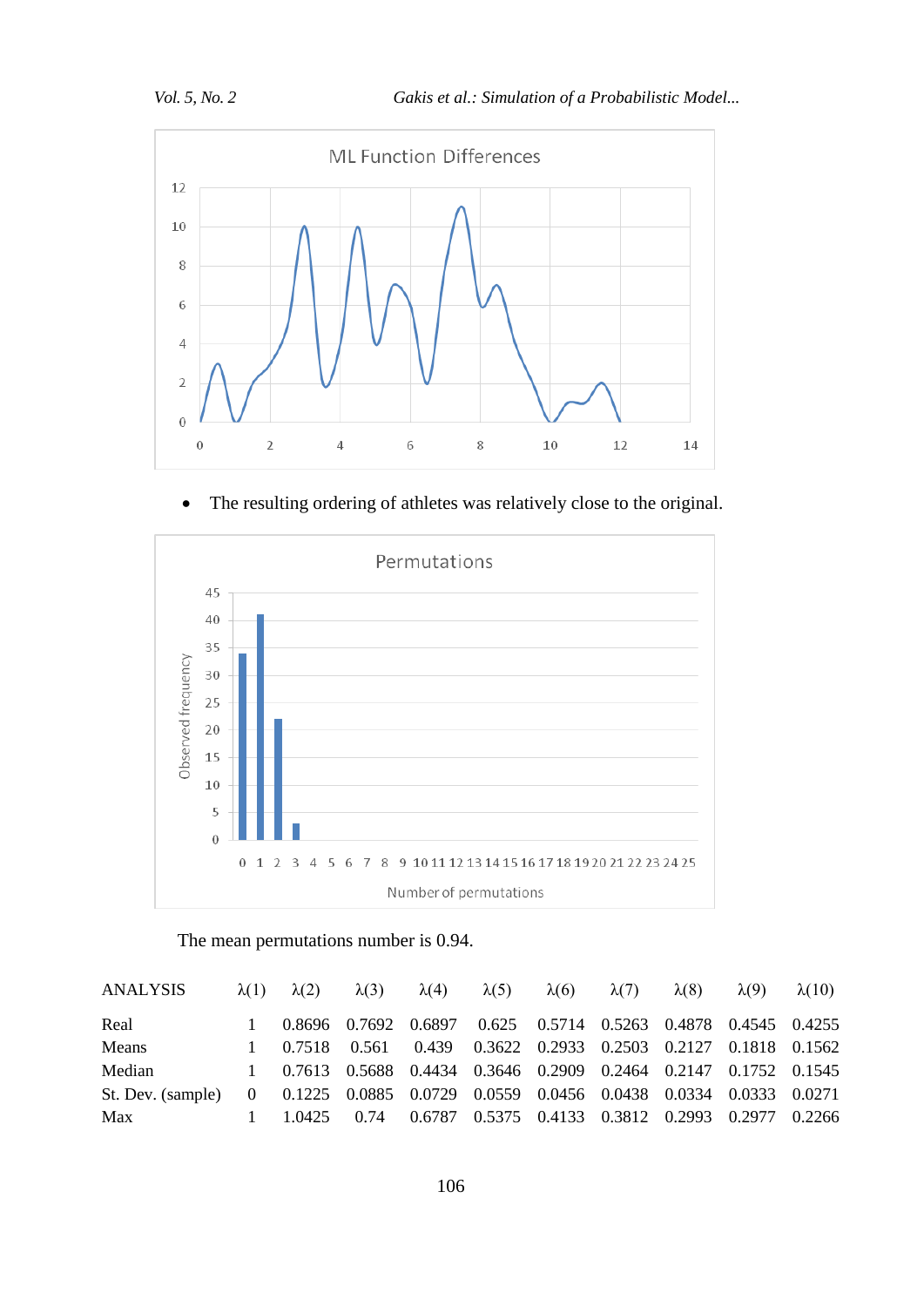

The resulting ordering of athletes was relatively close to the original.



The mean permutations number is 0.94.

| ANALYSIS                                                                           | $\lambda(1)$ $\lambda(2)$   | $\lambda(3)$ |                                                                  | $\lambda(4)$ $\lambda(5)$ | $\lambda(6)$ $\lambda(7)$ | $\lambda(8)$ | $\lambda(9)$ | $\lambda(10)$ |
|------------------------------------------------------------------------------------|-----------------------------|--------------|------------------------------------------------------------------|---------------------------|---------------------------|--------------|--------------|---------------|
| Real                                                                               |                             |              | 0.8696 0.7692 0.6897 0.625 0.5714 0.5263 0.4878 0.4545 0.4255    |                           |                           |              |              |               |
| Means                                                                              |                             |              | 1 0.7518 0.561 0.439 0.3622 0.2933 0.2503 0.2127 0.1818 0.1562   |                           |                           |              |              |               |
| Median                                                                             |                             |              | 1 0.7613 0.5688 0.4434 0.3646 0.2909 0.2464 0.2147 0.1752 0.1545 |                           |                           |              |              |               |
| St. Dev. (sample) 0 0.1225 0.0885 0.0729 0.0559 0.0456 0.0438 0.0334 0.0333 0.0271 |                             |              |                                                                  |                           |                           |              |              |               |
| Max                                                                                | $1 \quad 1.0425 \quad 0.74$ |              | 0.6787 0.5375 0.4133 0.3812 0.2993 0.2977 0.2266                 |                           |                           |              |              |               |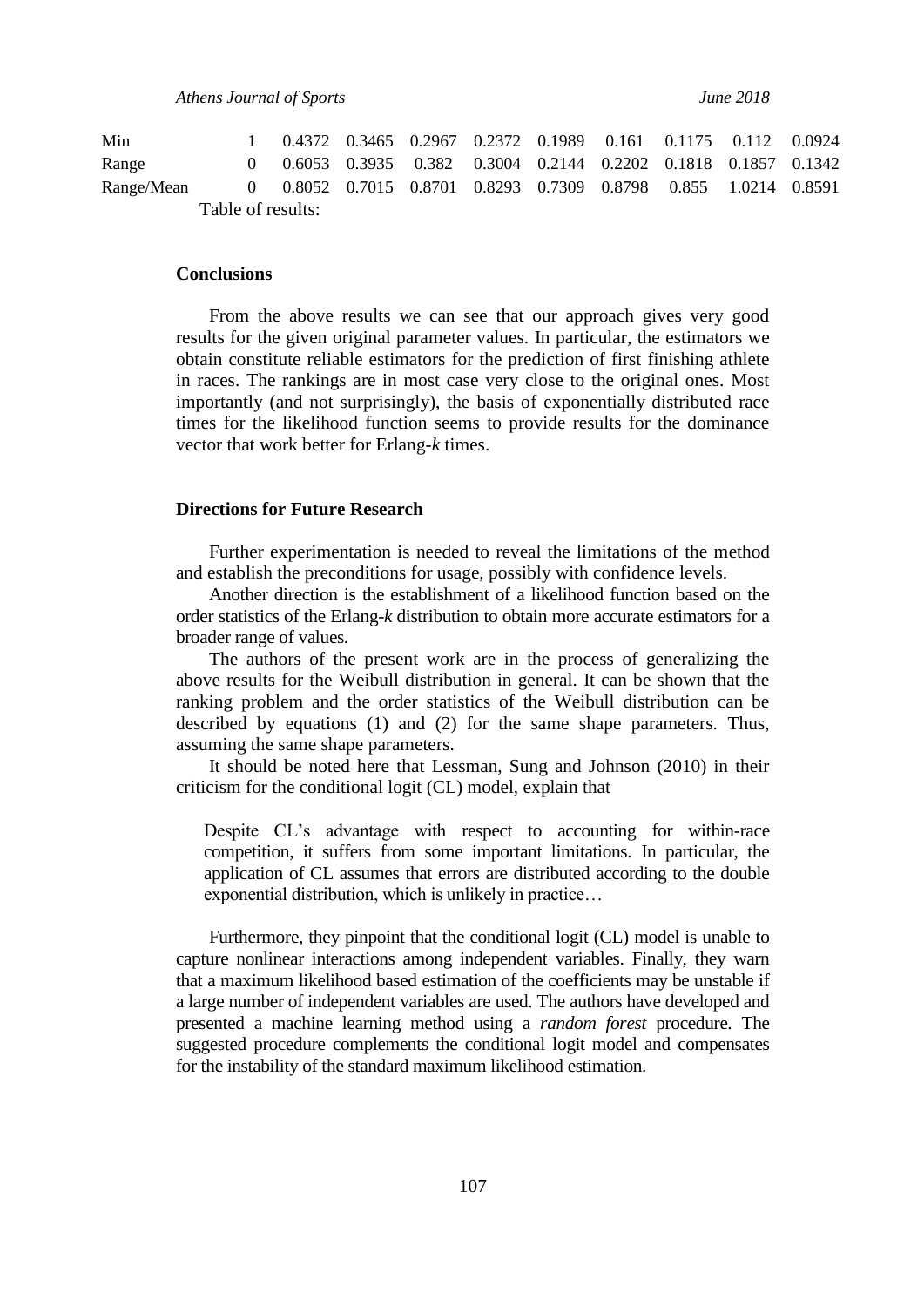*Athens Journal of Sports June 2018*

Table of results: Min 1 0.4372 0.3465 0.2967 0.2372 0.1989 0.161 0.1175 0.112 0.0924 Range 0 0.6053 0.3935 0.382 0.3004 0.2144 0.2202 0.1818 0.1857 0.1342 Range/Mean 0 0.8052 0.7015 0.8701 0.8293 0.7309 0.8798 0.855 1.0214 0.8591

#### **Conclusions**

From the above results we can see that our approach gives very good results for the given original parameter values. In particular, the estimators we obtain constitute reliable estimators for the prediction of first finishing athlete in races. The rankings are in most case very close to the original ones. Most importantly (and not surprisingly), the basis of exponentially distributed race times for the likelihood function seems to provide results for the dominance vector that work better for Erlang-*k* times.

## **Directions for Future Research**

Further experimentation is needed to reveal the limitations of the method and establish the preconditions for usage, possibly with confidence levels.

Another direction is the establishment of a likelihood function based on the order statistics of the Erlang-*k* distribution to obtain more accurate estimators for a broader range of values.

The authors of the present work are in the process of generalizing the above results for the Weibull distribution in general. It can be shown that the ranking problem and the order statistics of the Weibull distribution can be described by equations (1) and (2) for the same shape parameters. Thus, assuming the same shape parameters.

It should be noted here that Lessman, Sung and Johnson (2010) in their criticism for the conditional logit (CL) model, explain that

Despite CL's advantage with respect to accounting for within-race competition, it suffers from some important limitations. In particular, the application of CL assumes that errors are distributed according to the double exponential distribution, which is unlikely in practice…

Furthermore, they pinpoint that the conditional logit (CL) model is unable to capture nonlinear interactions among independent variables. Finally, they warn that a maximum likelihood based estimation of the coefficients may be unstable if a large number of independent variables are used. The authors have developed and presented a machine learning method using a *random forest* procedure. The suggested procedure complements the conditional logit model and compensates for the instability of the standard maximum likelihood estimation.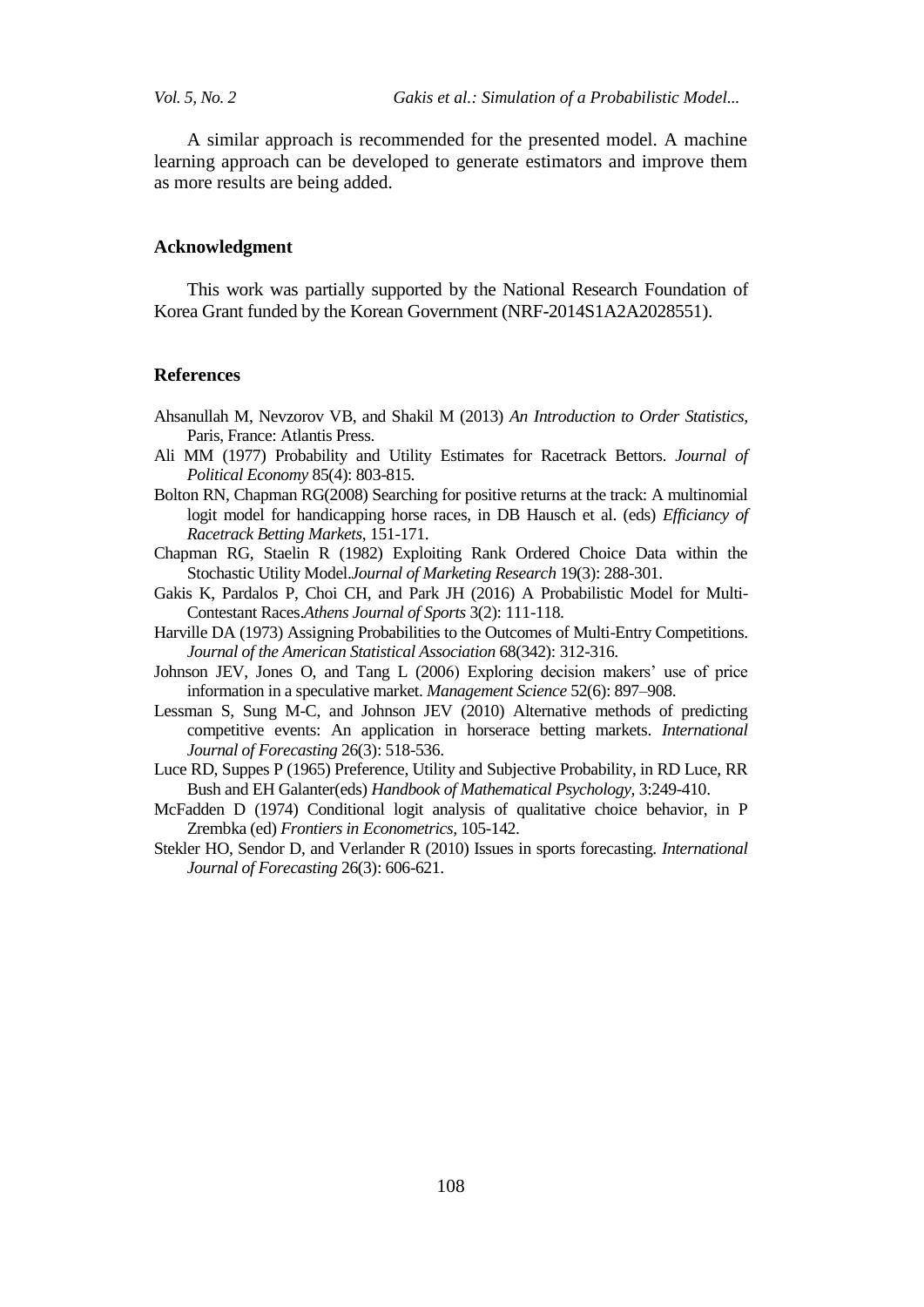*Vol. 5, No. 2 Gakis et al.: Simulation of a Probabilistic Model...*

A similar approach is recommended for the presented model. A machine learning approach can be developed to generate estimators and improve them as more results are being added.

#### **Acknowledgment**

This work was partially supported by the National Research Foundation of Korea Grant funded by the Korean Government (NRF-2014S1A2A2028551).

#### **References**

- Ahsanullah M, Nevzorov VB, and Shakil M (2013) *An Introduction to Order Statistics,*  Paris, France: Atlantis Press.
- Ali MM (1977) Probability and Utility Estimates for Racetrack Bettors. *Journal of Political Economy* 85(4): 803-815.
- Bolton RN, Chapman RG(2008) Searching for positive returns at the track: A multinomial logit model for handicapping horse races, in DB Hausch et al. (eds) *Efficiancy of Racetrack Betting Markets*, 151-171.
- Chapman RG, Staelin R (1982) Exploiting Rank Ordered Choice Data within the Stochastic Utility Model.*Journal of Marketing Research* 19(3): 288-301.
- Gakis K, Pardalos P, Choi CH, and Park JH (2016) A Probabilistic Model for Multi-Contestant Races.*Athens Journal of Sports* 3(2): 111-118.
- Harville DA (1973) Assigning Probabilities to the Outcomes of Multi-Entry Competitions. *Journal of the American Statistical Association* 68(342): 312-316.
- Johnson JEV, Jones O, and Tang L (2006) Exploring decision makers' use of price information in a speculative market. *Management Science* 52(6): 897–908.
- Lessman S, Sung M-C, and Johnson JEV (2010) Alternative methods of predicting competitive events: An application in horserace betting markets. *International Journal of Forecasting* 26(3): 518-536.
- Luce RD, Suppes P (1965) Preference, Utility and Subjective Probability, in RD Luce, RR Bush and EH Galanter(eds) *Handbook of Mathematical Psychology,* 3:249-410.
- McFadden D (1974) Conditional logit analysis of qualitative choice behavior, in P Zrembka (ed) *Frontiers in Econometrics,* 105-142.
- Stekler HO, Sendor D, and Verlander R (2010) Issues in sports forecasting. *International Journal of Forecasting* 26(3): 606-621.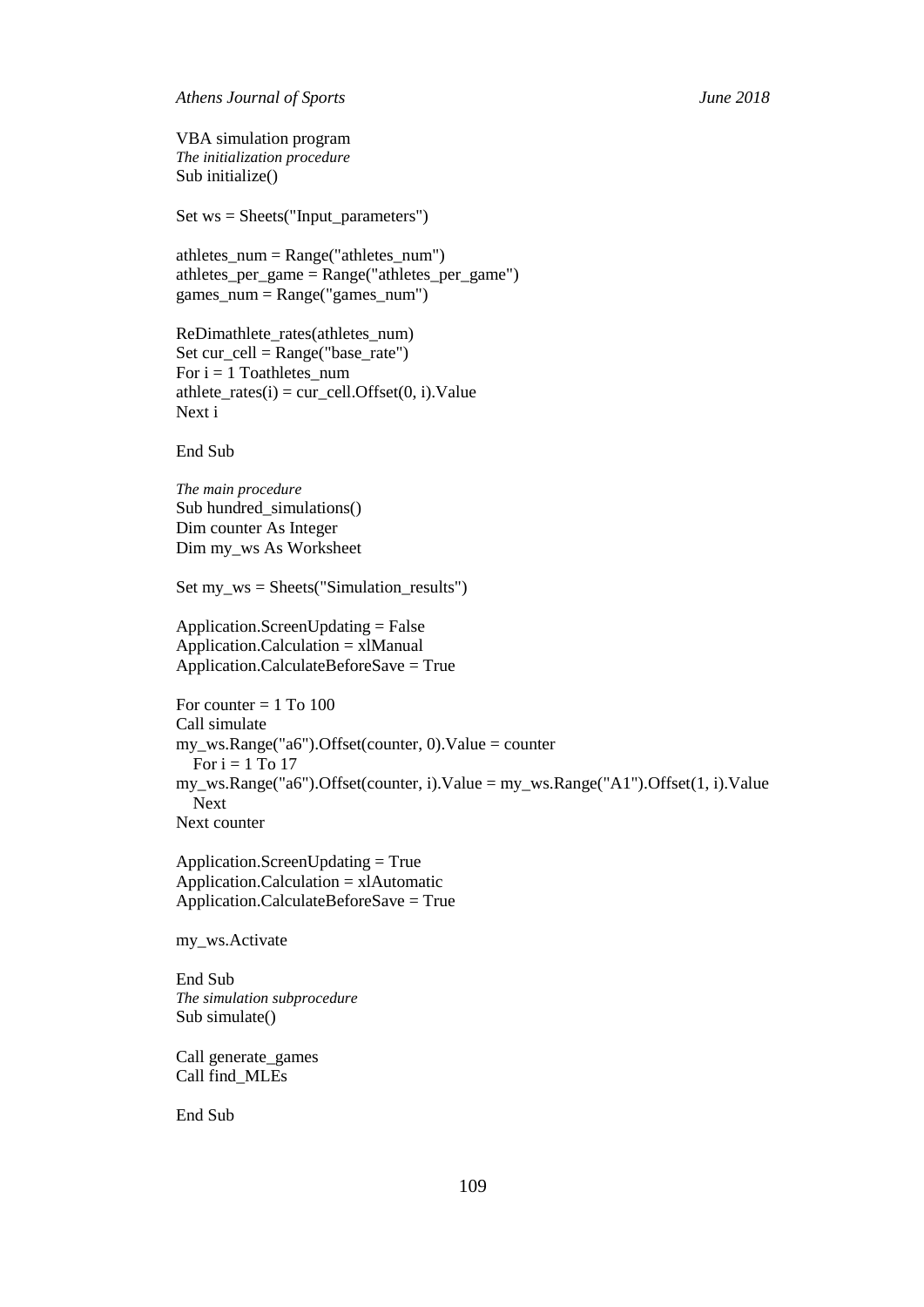*Athens Journal of Sports June 2018*

VBA simulation program *The initialization procedure* Sub initialize()

Set ws = Sheets("Input\_parameters")

athletes\_num =  $Range("athletes\_num")$ athletes\_per\_game = Range("athletes\_per\_game") games\_num = Range("games\_num")

ReDimathlete rates(athletes num) Set cur\_cell = Range("base\_rate") For  $i = 1$  Toathletes\_num athlete\_rates(i) = cur\_cell.Offset(0, i).Value Next i

End Sub

*The main procedure* Sub hundred simulations() Dim counter As Integer Dim my\_ws As Worksheet

Set my\_ws = Sheets("Simulation\_results")

Application.ScreenUpdating = False Application.Calculation = xlManual Application.CalculateBeforeSave = True

```
For counter = 1 To 100
Call simulate
my_ws.Range("a6").Offset(counter, 0).Value = counter
  For i = 1 To 17
my_ws.Range("a6").Offset(counter, i).Value = my_ws.Range("A1").Offset(1, i).Value
   Next
Next counter
```
Application.ScreenUpdating = True Application.Calculation = xlAutomatic Application.CalculateBeforeSave = True

my\_ws.Activate

End Sub *The simulation subprocedure* Sub simulate()

Call generate\_games Call find\_MLEs

End Sub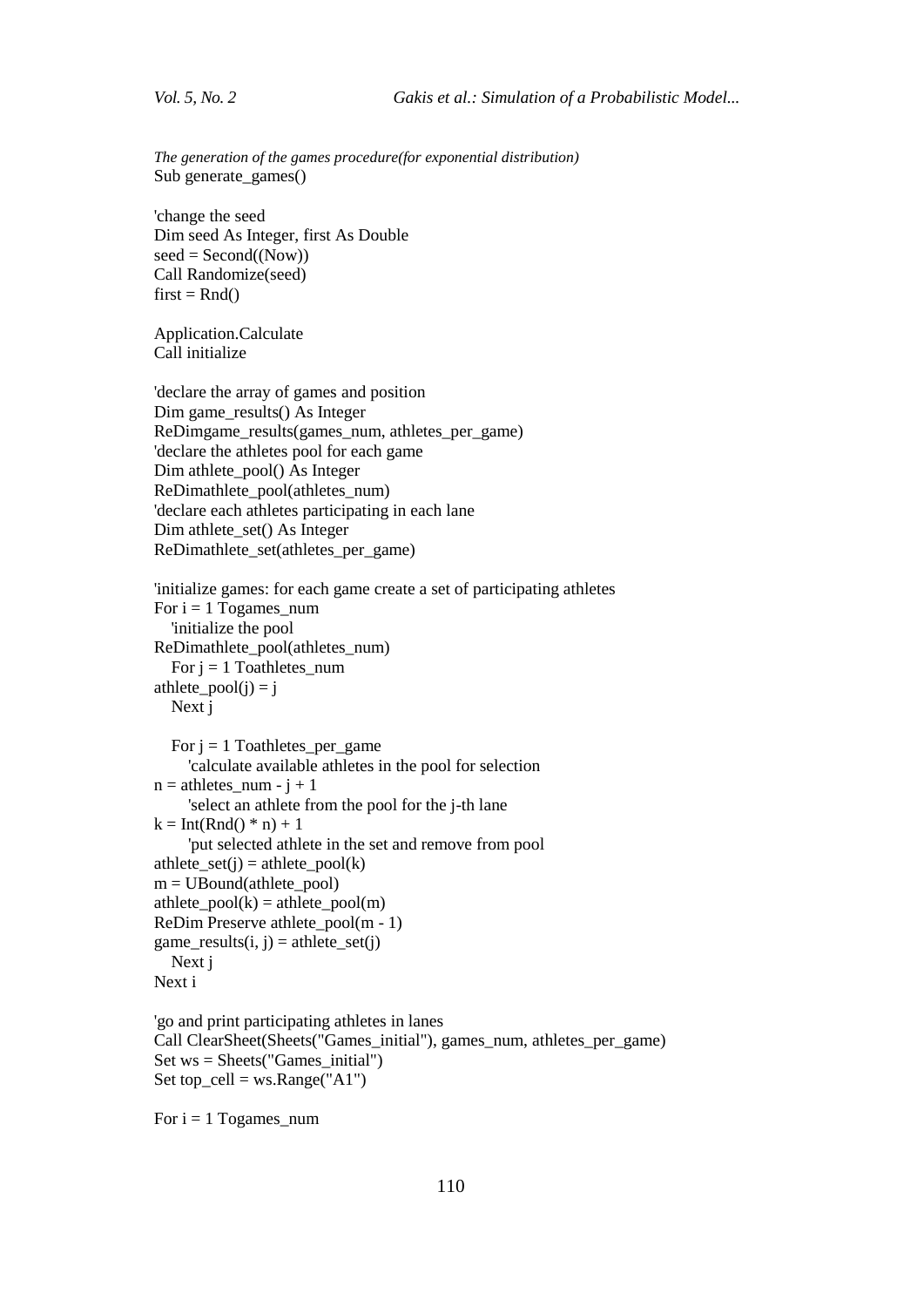*The generation of the games procedure(for exponential distribution)* Sub generate\_games()

'change the seed Dim seed As Integer, first As Double  $seed = Second((Now))$ Call Randomize(seed)  $first = Rnd()$ 

Application.Calculate Call initialize

'declare the array of games and position Dim game\_results() As Integer ReDimgame\_results(games\_num, athletes\_per\_game) 'declare the athletes pool for each game Dim athlete\_pool() As Integer ReDimathlete\_pool(athletes\_num) 'declare each athletes participating in each lane Dim athlete\_set() As Integer ReDimathlete\_set(athletes\_per\_game)

```
'initialize games: for each game create a set of participating athletes
For i = 1 Togames num
   'initialize the pool
ReDimathlete_pool(athletes_num)
  For j = 1 Toathletes_num
athlete_pool(j) = j Next j
  For j = 1 Toathletes_per_game
```

```
 'calculate available athletes in the pool for selection
n = athletes_num - j + 1
```
'select an athlete from the pool for the j-th lane

```
k = Int(Rnd() * n) + 1
```

```
 'put selected athlete in the set and remove from pool
```

```
athlete_set(j) = athlete_pool(k)
```

```
m = UBound(athlete\_pool)
```

```
athlete_pool(k) = athlete_pool(m)
```

```
ReDim Preserve athlete_pool(m - 1)
```

```
game_results(i, j) = athlete_set(j)
```

```
 Next j
Next i
```

```
'go and print participating athletes in lanes
Call ClearSheet(Sheets("Games_initial"), games_num, athletes_per_game)
Set ws = Sheets("Games_initial")
Set top_cell = ws.Range("A1")
```
For  $i = 1$  Togames num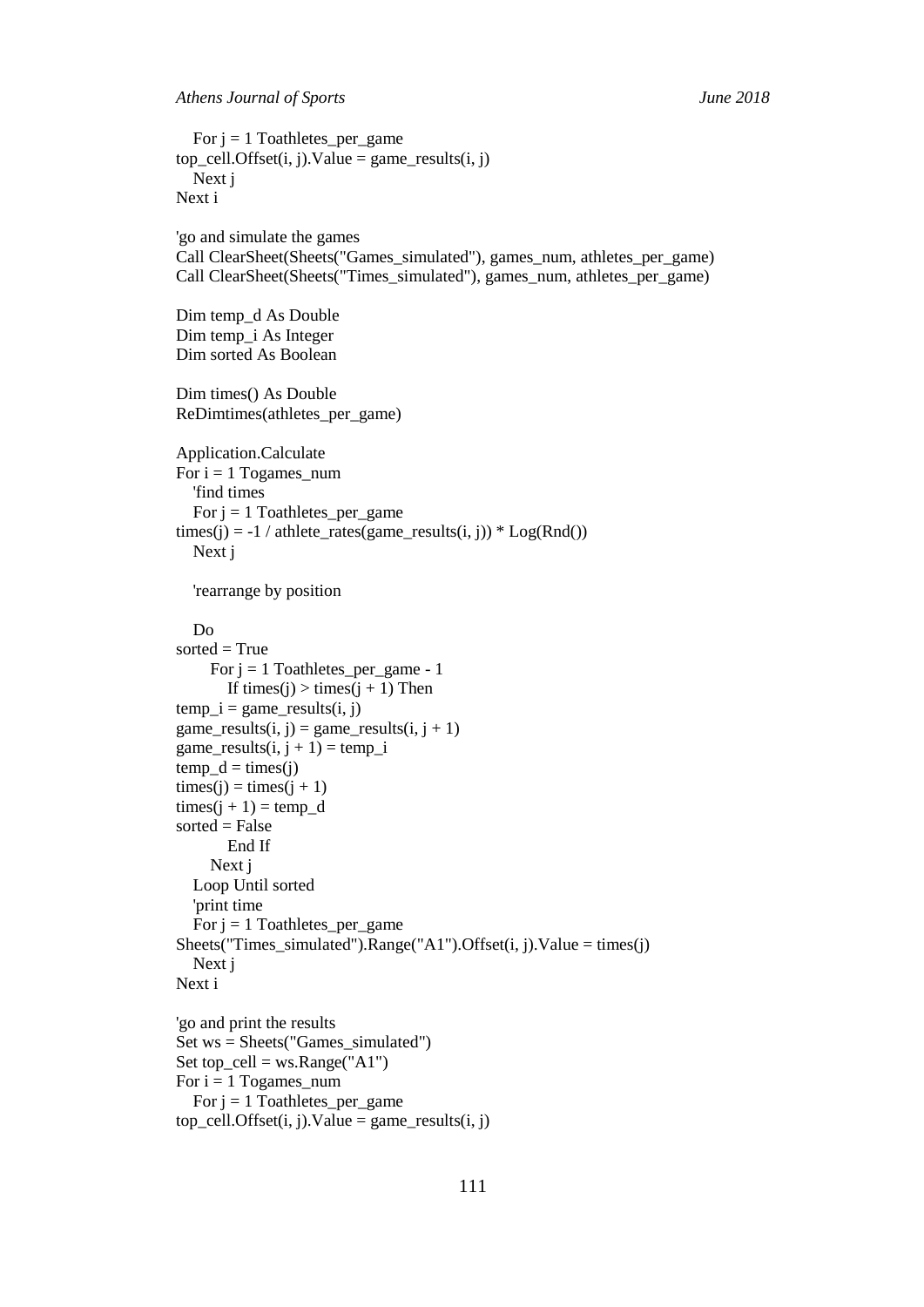For  $j = 1$  Toathletes\_per\_game  $top\_cell.Offset(i, j).Value = game\_results(i, j)$  Next j Next i 'go and simulate the games Call ClearSheet(Sheets("Games\_simulated"), games\_num, athletes\_per\_game) Call ClearSheet(Sheets("Times\_simulated"), games\_num, athletes\_per\_game) Dim temp\_d As Double Dim temp\_i As Integer Dim sorted As Boolean Dim times() As Double ReDimtimes(athletes\_per\_game) Application.Calculate For  $i = 1$  Togames\_num 'find times For  $j = 1$  Toathletes\_per\_game times(j) =  $-1$  / athlete\_rates(game\_results(i, j)) \*  $Log(Rnd()$  Next j 'rearrange by position Do  $sorted = True$ For  $j = 1$  Toathletes\_per\_game - 1 If times(j) > times(j + 1) Then temp  $i =$  game results $(i, j)$ game\_results $(i, j)$  = game\_results $(i, j + 1)$ game\_results $(i, j + 1) = temp_i$  $temp_d = times(j)$  $times(i) = times(i + 1)$  $times(i + 1) = temp_d$  $sorted = False$  End If Next j Loop Until sorted 'print time For  $j = 1$  Toathletes\_per\_game Sheets("Times\_simulated").Range("A1").Offset(i, j).Value = times(j) Next j Next i 'go and print the results Set ws = Sheets("Games\_simulated") Set top\_cell = ws.Range("A1") For  $i = 1$  Togames\_num For  $j = 1$  Toathletes\_per\_game  $top\_cell.Offset(i, j).Value = game\_results(i, j)$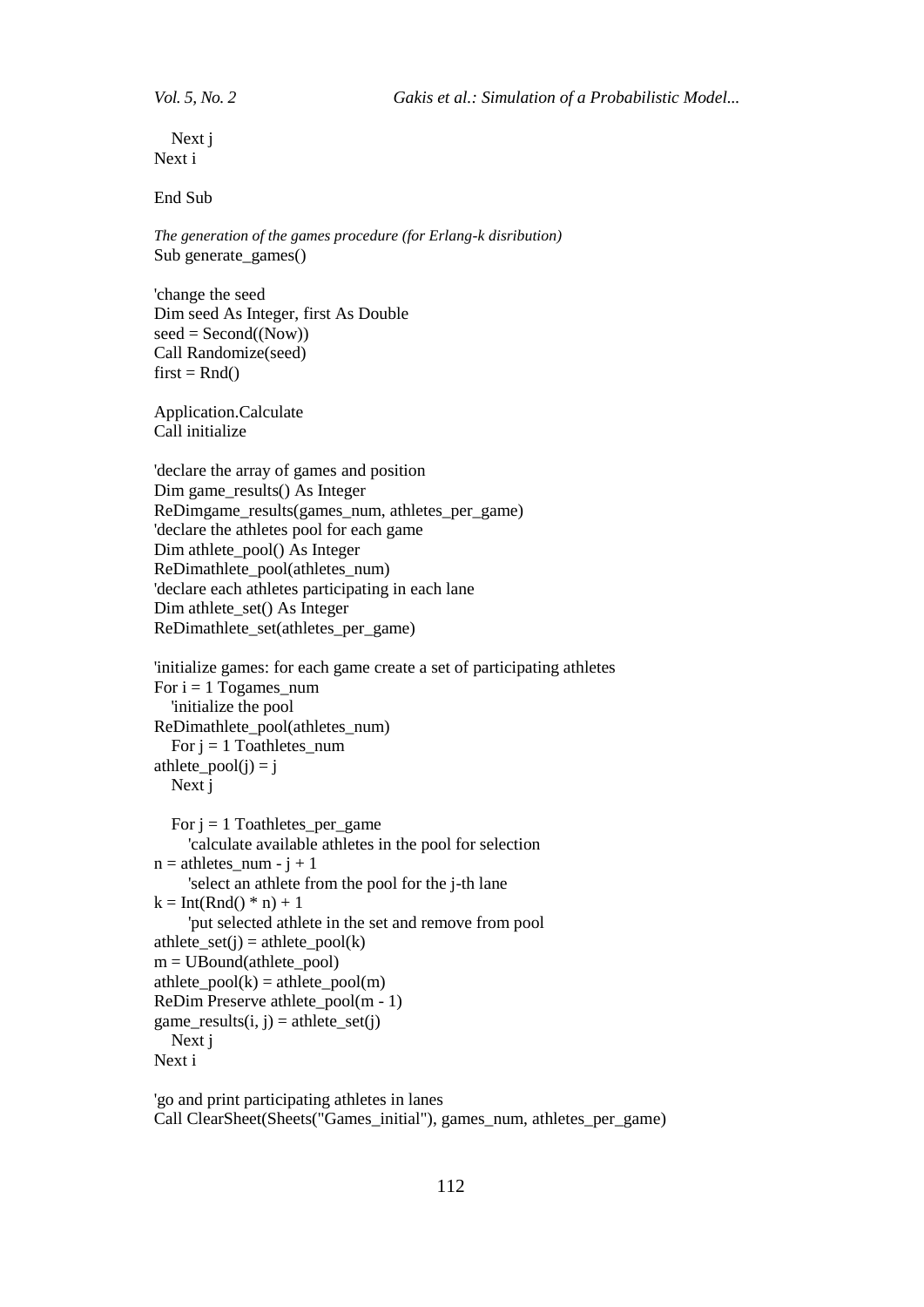Next j Next i

End Sub

*The generation of the games procedure (for Erlang-k disribution)* Sub generate\_games()

'change the seed Dim seed As Integer, first As Double  $seed = Second((Now))$ Call Randomize(seed)  $first = Rnd()$ 

Application.Calculate Call initialize

'declare the array of games and position Dim game results() As Integer ReDimgame\_results(games\_num, athletes\_per\_game) 'declare the athletes pool for each game Dim athlete\_pool() As Integer ReDimathlete\_pool(athletes\_num) 'declare each athletes participating in each lane Dim athlete set() As Integer ReDimathlete\_set(athletes\_per\_game)

```
'initialize games: for each game create a set of participating athletes
For i = 1 Togames_num
   'initialize the pool
ReDimathlete_pool(athletes_num)
  For j = 1 Toathletes_num
athlete_pool(j) = j Next j
  For j = 1 Toathletes per game
      'calculate available athletes in the pool for selection
n = athletes_num - j + 1 'select an athlete from the pool for the j-th lane
k = Int(Rnd() * n) + 1 'put selected athlete in the set and remove from pool
athlete set(i) = \text{athlete pool}(k)m = UBound(athlete-pool)athlete pool(k) = athlete pool(m)ReDim Preserve athlete_pool(m - 1)
```
game\_results $(i, j)$  = athlete\_set $(j)$ 

 Next j Next i

'go and print participating athletes in lanes Call ClearSheet(Sheets("Games\_initial"), games\_num, athletes\_per\_game)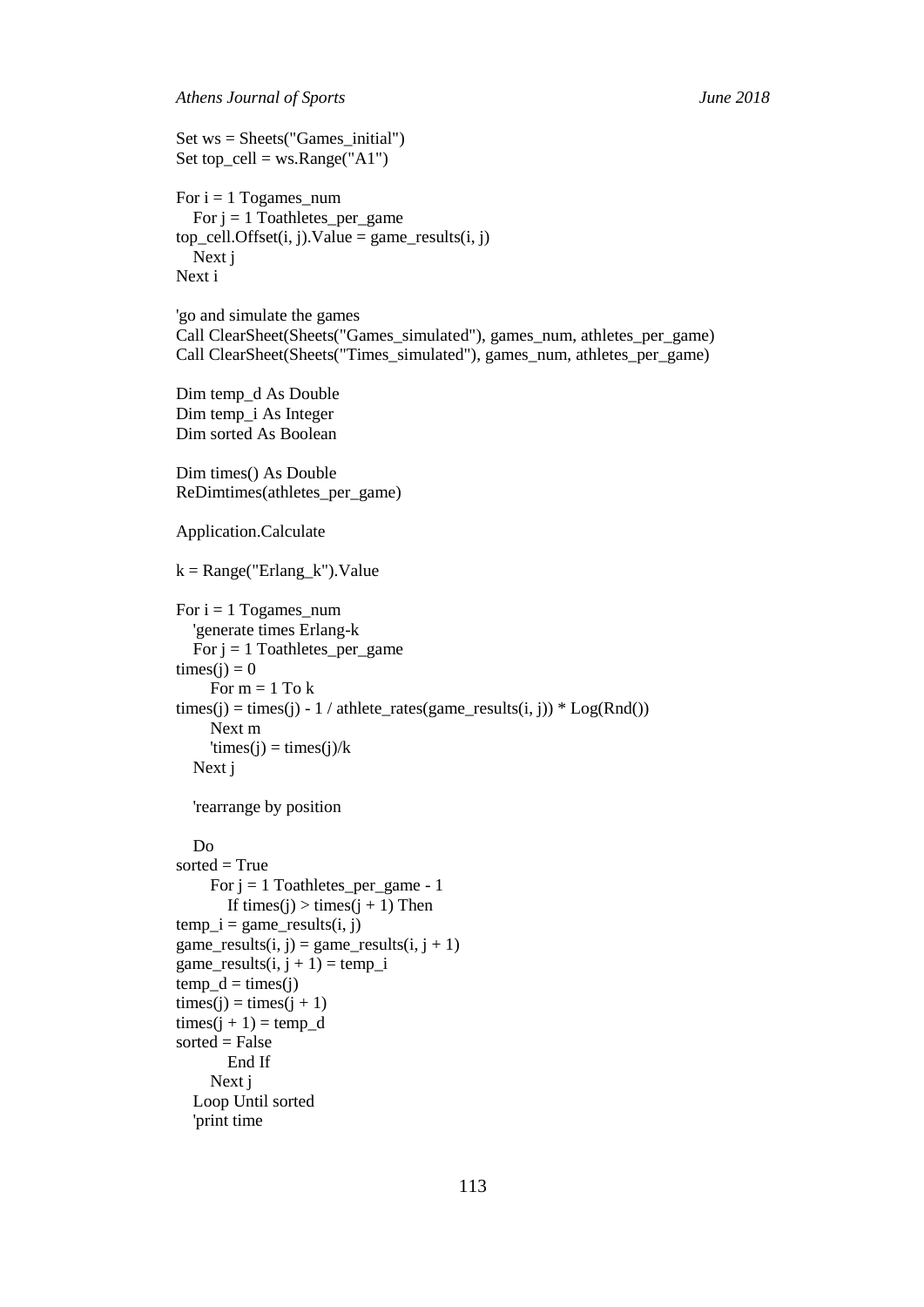Set  $ws = \text{Sheets}("Games initial")$ Set top\_cell =  $ws.Range("A1")$ 

```
For i = 1 Togames_num
  For j = 1 Toathletes_per_game
top\_cell.Offset(i, j).Value = game\_results(i, j) Next j
Next i
'go and simulate the games
Call ClearSheet(Sheets("Games_simulated"), games_num, athletes_per_game)
Call ClearSheet(Sheets("Times_simulated"), games_num, athletes_per_game)
Dim temp_d As Double
Dim temp_i As Integer
Dim sorted As Boolean
Dim times() As Double
ReDimtimes(athletes_per_game)
Application.Calculate
k = Range("Erlang k").ValueFor i = 1 Togames_num
   'generate times Erlang-k
  For j = 1 Toathletes_per_game
times(i) = 0For m = 1 To ktimes(j) = times(j) - 1 / athlete_rates(game_results(i, j)) * Log(Rnd()) Next m
    'times(i) = times(i)/k Next j
   'rearrange by position
   Do
sorted = TrueFor j = 1 Toathletes_per_game - 1
       If times(j) > times(j + 1) Then
temp_i = game_rresults(i, j)game_results(i, j) = game_results(i, j + 1)game_results(i, j + 1) = temp_itemp_d = times(j)times(j) = times(j + 1)times(i + 1) = temp_dsorted = False
        End If
     Next j
   Loop Until sorted
```
'print time